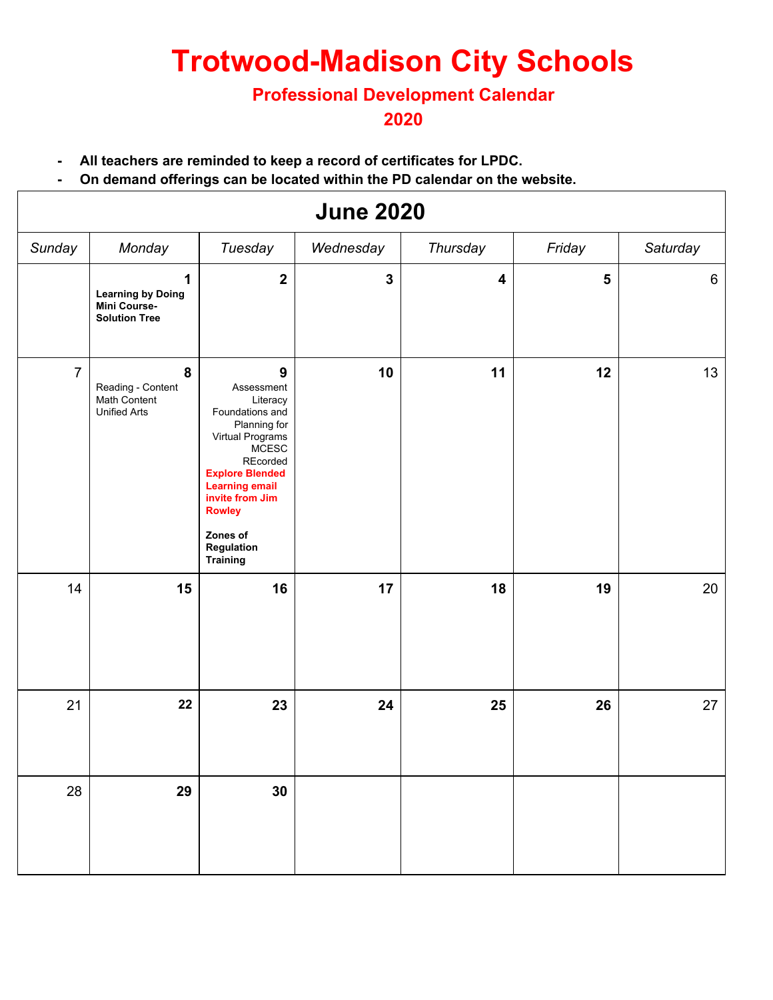# **Trotwood-Madison City Schools**

#### **Professional Development Calendar**

#### **2020**

- **- All teachers are reminded to keep a record of certificates for LPDC.**
- **- On demand offerings can be located within the PD calendar on the website.**

| <b>June 2020</b> |                                                                       |                                                                                                                                                                                                                                                                   |              |                         |                         |          |  |
|------------------|-----------------------------------------------------------------------|-------------------------------------------------------------------------------------------------------------------------------------------------------------------------------------------------------------------------------------------------------------------|--------------|-------------------------|-------------------------|----------|--|
| Sunday           | Monday                                                                | Tuesday                                                                                                                                                                                                                                                           | Wednesday    | Thursday                | Friday                  | Saturday |  |
|                  | 1<br><b>Learning by Doing</b><br>Mini Course-<br><b>Solution Tree</b> | $\overline{\mathbf{2}}$                                                                                                                                                                                                                                           | $\mathbf{3}$ | $\overline{\mathbf{4}}$ | $\overline{\mathbf{5}}$ | 6        |  |
| $\overline{7}$   | 8<br>Reading - Content<br>Math Content<br><b>Unified Arts</b>         | $\boldsymbol{9}$<br>Assessment<br>Literacy<br>Foundations and<br>Planning for<br>Virtual Programs<br><b>MCESC</b><br>REcorded<br><b>Explore Blended</b><br><b>Learning email</b><br>invite from Jim<br><b>Rowley</b><br>Zones of<br>Regulation<br><b>Training</b> | 10           | 11                      | 12                      | 13       |  |
| 14               | 15                                                                    | 16                                                                                                                                                                                                                                                                | 17           | 18                      | 19                      | 20       |  |
| 21               | 22                                                                    | 23                                                                                                                                                                                                                                                                | 24           | 25                      | 26                      | 27       |  |
| 28               | 29                                                                    | 30                                                                                                                                                                                                                                                                |              |                         |                         |          |  |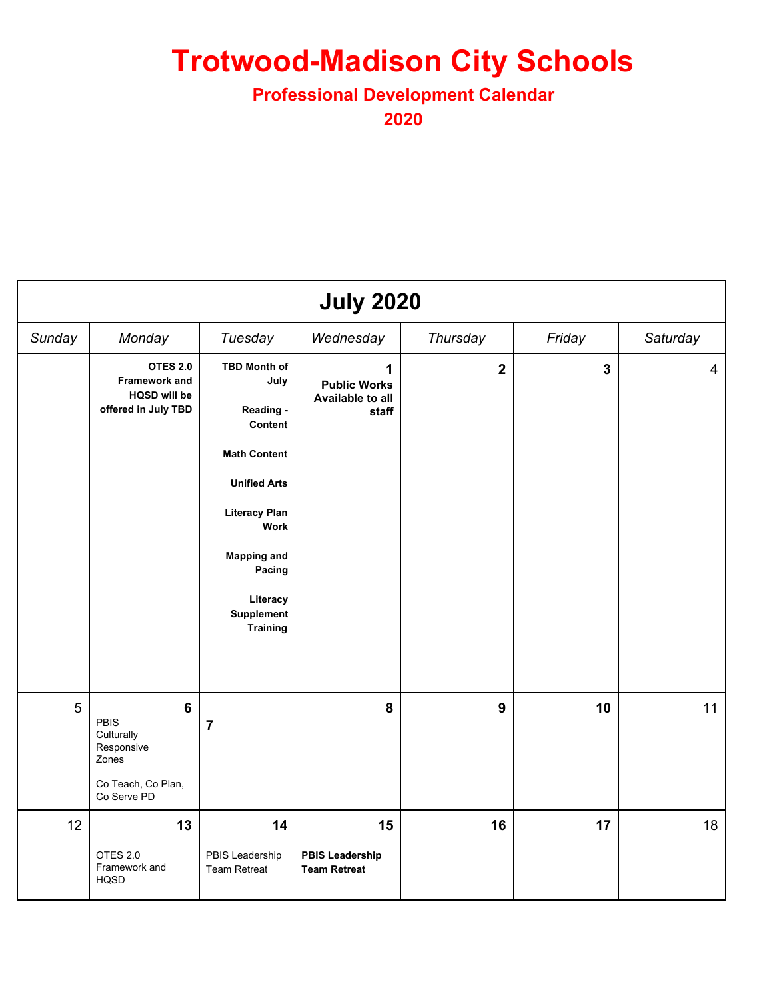## **Trotwood-Madison City Schools**

#### **Professional Development Calendar**

**2020**

| <b>July 2020</b> |                                                                                                  |                                                                                                                                                                                                                       |                                                       |                  |                         |                |
|------------------|--------------------------------------------------------------------------------------------------|-----------------------------------------------------------------------------------------------------------------------------------------------------------------------------------------------------------------------|-------------------------------------------------------|------------------|-------------------------|----------------|
| Sunday           | Monday                                                                                           | Tuesday                                                                                                                                                                                                               | Wednesday                                             | Thursday         | Friday                  | Saturday       |
|                  | <b>OTES 2.0</b><br>Framework and<br><b>HQSD will be</b><br>offered in July TBD                   | <b>TBD Month of</b><br>July<br>Reading -<br>Content<br><b>Math Content</b><br><b>Unified Arts</b><br><b>Literacy Plan</b><br><b>Work</b><br><b>Mapping and</b><br>Pacing<br>Literacy<br>Supplement<br><b>Training</b> | 1<br><b>Public Works</b><br>Available to all<br>staff | $\overline{2}$   | $\overline{\mathbf{3}}$ | $\overline{4}$ |
| 5                | $6\phantom{1}$<br>PBIS<br>Culturally<br>Responsive<br>Zones<br>Co Teach, Co Plan,<br>Co Serve PD | 7                                                                                                                                                                                                                     | 8                                                     | $\boldsymbol{9}$ | 10                      | 11             |
| 12               | 13<br>OTES 2.0<br>Framework and<br><b>HQSD</b>                                                   | 14<br>PBIS Leadership<br><b>Team Retreat</b>                                                                                                                                                                          | 15<br><b>PBIS Leadership</b><br><b>Team Retreat</b>   | 16               | 17                      | 18             |